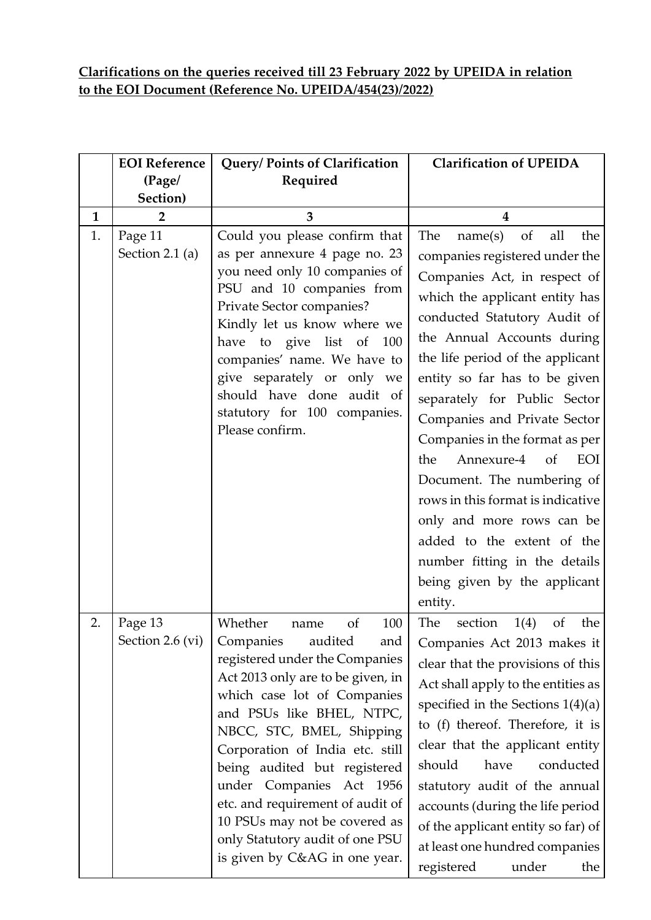## **Clarifications on the queries received till 23 February 2022 by UPEIDA in relation to the EOI Document (Reference No. UPEIDA/454(23)/2022)**

|              | <b>EOI</b> Reference        | Query/ Points of Clarification                                                                                                                                                                                                                                                                                                                                                                                                                                      | <b>Clarification of UPEIDA</b>                                                                                                                                                                                                                                                                                                                                                                                                                                                                                                                                                                                          |
|--------------|-----------------------------|---------------------------------------------------------------------------------------------------------------------------------------------------------------------------------------------------------------------------------------------------------------------------------------------------------------------------------------------------------------------------------------------------------------------------------------------------------------------|-------------------------------------------------------------------------------------------------------------------------------------------------------------------------------------------------------------------------------------------------------------------------------------------------------------------------------------------------------------------------------------------------------------------------------------------------------------------------------------------------------------------------------------------------------------------------------------------------------------------------|
|              | (Page/<br>Section)          | Required                                                                                                                                                                                                                                                                                                                                                                                                                                                            |                                                                                                                                                                                                                                                                                                                                                                                                                                                                                                                                                                                                                         |
| $\mathbf{1}$ | 2                           | 3                                                                                                                                                                                                                                                                                                                                                                                                                                                                   | 4                                                                                                                                                                                                                                                                                                                                                                                                                                                                                                                                                                                                                       |
| 1.           | Page 11<br>Section 2.1 (a)  | Could you please confirm that<br>as per annexure 4 page no. 23<br>you need only 10 companies of<br>PSU and 10 companies from<br>Private Sector companies?<br>Kindly let us know where we<br>have to give list of<br>100<br>companies' name. We have to<br>give separately or only we<br>should have done audit of<br>statutory for 100 companies.<br>Please confirm.                                                                                                | the<br>The<br>name(s)<br>of<br>all<br>companies registered under the<br>Companies Act, in respect of<br>which the applicant entity has<br>conducted Statutory Audit of<br>the Annual Accounts during<br>the life period of the applicant<br>entity so far has to be given<br>separately for Public Sector<br>Companies and Private Sector<br>Companies in the format as per<br>Annexure-4<br>of<br>EOI<br>the<br>Document. The numbering of<br>rows in this format is indicative<br>only and more rows can be<br>added to the extent of the<br>number fitting in the details<br>being given by the applicant<br>entity. |
| 2.           | Page 13<br>Section 2.6 (vi) | Whether<br>of<br>100<br>name<br>Companies<br>audited<br>and<br>registered under the Companies<br>Act 2013 only are to be given, in<br>which case lot of Companies<br>and PSUs like BHEL, NTPC,<br>NBCC, STC, BMEL, Shipping<br>Corporation of India etc. still<br>being audited but registered<br>under Companies Act 1956<br>etc. and requirement of audit of<br>10 PSUs may not be covered as<br>only Statutory audit of one PSU<br>is given by C&AG in one year. | The<br>the<br>section<br>1(4)<br><sub>of</sub><br>Companies Act 2013 makes it<br>clear that the provisions of this<br>Act shall apply to the entities as<br>specified in the Sections $1(4)(a)$<br>to (f) thereof. Therefore, it is<br>clear that the applicant entity<br>should<br>conducted<br>have<br>statutory audit of the annual<br>accounts (during the life period<br>of the applicant entity so far) of<br>at least one hundred companies<br>registered<br>under<br>the                                                                                                                                        |